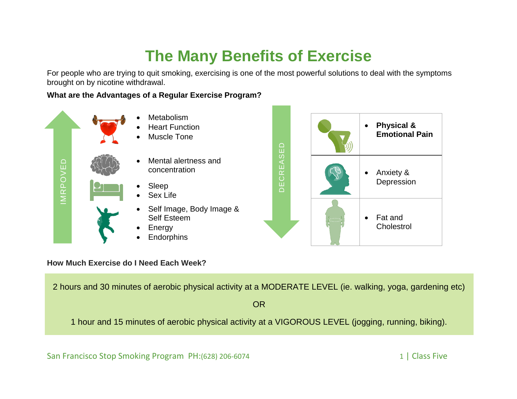### **The Many Benefits of Exercise**

For people who are trying to quit smoking, exercising is one of the most powerful solutions to deal with the symptoms brought on by nicotine withdrawal.

#### **What are the Advantages of a Regular Exercise Program?**



#### **How Much Exercise do I Need Each Week?**



1 hour and 15 minutes of aerobic physical activity at a VIGOROUS LEVEL (jogging, running, biking).

San Francisco Stop Smoking Program PH:(628) 206-6074 1 | Class Five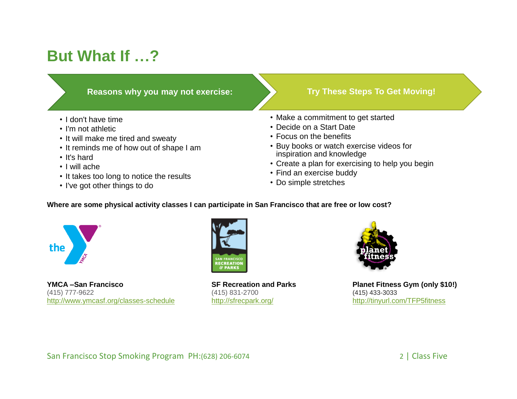## **But What If …?**

#### **Reasons why you may not exercise:**

- I don't have time
- I'm not athletic
- It will make me tired and sweaty
- It reminds me of how out of shape I am
- It's hard
- I will ache
- It takes too long to notice the results
- I've got other things to do

#### **Try These Steps To Get Moving!**

- Make a commitment to get started
- Decide on a Start Date
- Focus on the benefits
- Buy books or watch exercise videos for inspiration and knowledge
- Create a plan for exercising to help you begin
- Find an exercise buddy
- Do simple stretches

#### **Where are some physical activity classes I can participate in San Francisco that are free or low cost?**



**YMCA –San Francisco SF Recreation and Parks Planet Fitness Gym (only \$10!)**  (415) 777-9622 (415) 831-2700 (415) 433-3033 <http://www.ymcasf.org/classes-schedule> <http://sfrecpark.org/> <http://tinyurl.com/TFP5fitness>



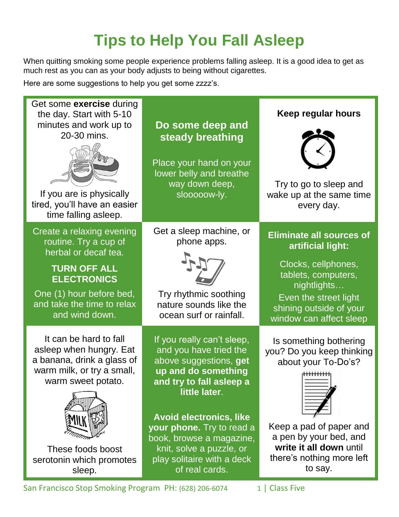## **Tips to Help You Fall Asleep**

When quitting smoking some people experience problems falling asleep. It is a good idea to get as much rest as you can as your body adjusts to being without cigarettes.

Here are some suggestions to help you get some zzzz's.



San Francisco Stop Smoking Program PH: (628) 206-6074 1 | Class Five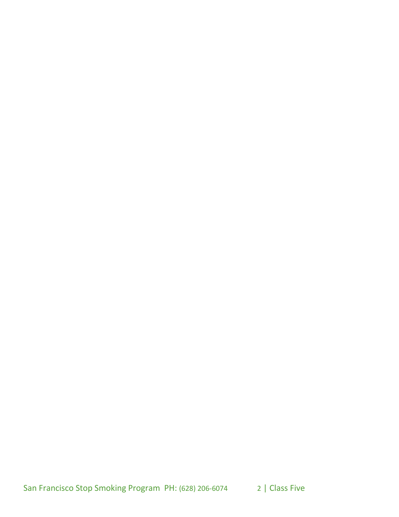San Francisco Stop Smoking Program PH: (628) 206-6074 2 | Class Five